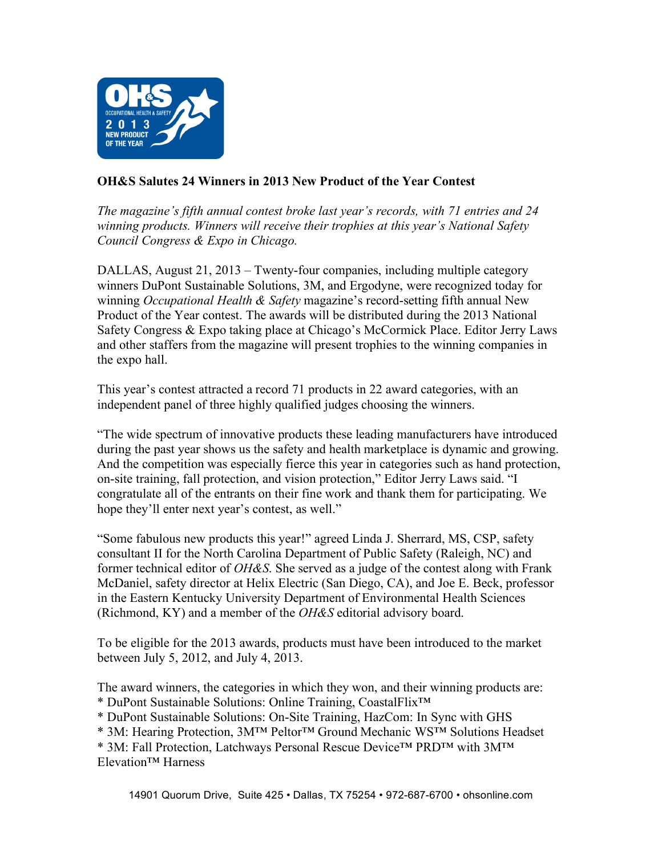

## **OH&S Salutes 24 Winners in 2013 New Product of the Year Contest**

*The magazine's fifth annual contest broke last year's records, with 71 entries and 24 winning products. Winners will receive their trophies at this year's National Safety Council Congress & Expo in Chicago.*

DALLAS, August 21, 2013 – Twenty-four companies, including multiple category winners DuPont Sustainable Solutions, 3M, and Ergodyne, were recognized today for winning *Occupational Health & Safety* magazine's record-setting fifth annual New Product of the Year contest. The awards will be distributed during the 2013 National Safety Congress & Expo taking place at Chicago's McCormick Place. Editor Jerry Laws and other staffers from the magazine will present trophies to the winning companies in the expo hall.

This year's contest attracted a record 71 products in 22 award categories, with an independent panel of three highly qualified judges choosing the winners.

"The wide spectrum of innovative products these leading manufacturers have introduced during the past year shows us the safety and health marketplace is dynamic and growing. And the competition was especially fierce this year in categories such as hand protection, on-site training, fall protection, and vision protection," Editor Jerry Laws said. "I congratulate all of the entrants on their fine work and thank them for participating. We hope they'll enter next year's contest, as well."

"Some fabulous new products this year!" agreed Linda J. Sherrard, MS, CSP, safety consultant II for the North Carolina Department of Public Safety (Raleigh, NC) and former technical editor of *OH&S*. She served as a judge of the contest along with Frank McDaniel, safety director at Helix Electric (San Diego, CA), and Joe E. Beck, professor in the Eastern Kentucky University Department of Environmental Health Sciences (Richmond, KY) and a member of the *OH&S* editorial advisory board.

To be eligible for the 2013 awards, products must have been introduced to the market between July 5, 2012, and July 4, 2013.

The award winners, the categories in which they won, and their winning products are:

\* DuPont Sustainable Solutions: Online Training, CoastalFlix™

\* DuPont Sustainable Solutions: On-Site Training, HazCom: In Sync with GHS

\* 3M: Hearing Protection, 3M™ Peltor™ Ground Mechanic WS™ Solutions Headset

\* 3M: Fall Protection, Latchways Personal Rescue Device™ PRD™ with 3M™ Elevation™ Harness